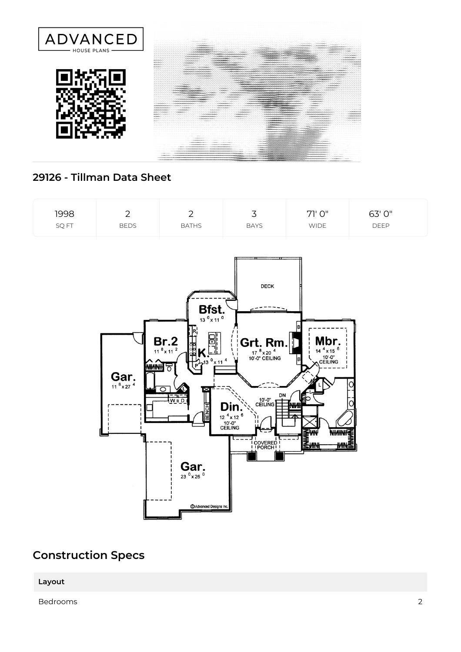

**29126 - Tillman Data Sheet**



## **Construction Specs**

**Layout**

Bedrooms 2